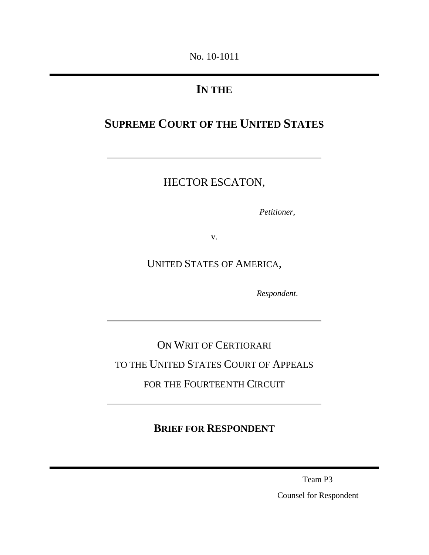No. 10-1011

# **IN THE**

# **SUPREME COURT OF THE UNITED STATES**

## HECTOR ESCATON,

*Petitioner*,

v.

### UNITED STATES OF AMERICA,

*Respondent*.

# ON WRIT OF CERTIORARI

### TO THE UNITED STATES COURT OF APPEALS

### FOR THE FOURTEENTH CIRCUIT

## **BRIEF FOR RESPONDENT**

Team P3

Counsel for Respondent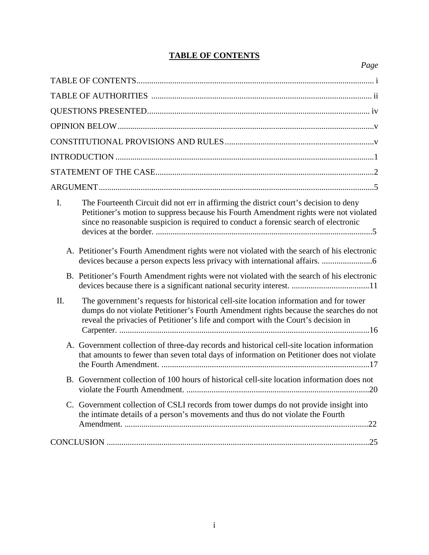### **TABLE OF CONTENTS**

| Page                                                                                                                                                                                                                                                                         |
|------------------------------------------------------------------------------------------------------------------------------------------------------------------------------------------------------------------------------------------------------------------------------|
|                                                                                                                                                                                                                                                                              |
|                                                                                                                                                                                                                                                                              |
|                                                                                                                                                                                                                                                                              |
|                                                                                                                                                                                                                                                                              |
|                                                                                                                                                                                                                                                                              |
|                                                                                                                                                                                                                                                                              |
|                                                                                                                                                                                                                                                                              |
|                                                                                                                                                                                                                                                                              |
| I.<br>The Fourteenth Circuit did not err in affirming the district court's decision to deny<br>Petitioner's motion to suppress because his Fourth Amendment rights were not violated<br>since no reasonable suspicion is required to conduct a forensic search of electronic |
| A. Petitioner's Fourth Amendment rights were not violated with the search of his electronic                                                                                                                                                                                  |
| B. Petitioner's Fourth Amendment rights were not violated with the search of his electronic<br>devices because there is a significant national security interest. 11                                                                                                         |
| II.<br>The government's requests for historical cell-site location information and for tower<br>dumps do not violate Petitioner's Fourth Amendment rights because the searches do not<br>reveal the privacies of Petitioner's life and comport with the Court's decision in  |
| A. Government collection of three-day records and historical cell-site location information<br>that amounts to fewer than seven total days of information on Petitioner does not violate                                                                                     |
| B. Government collection of 100 hours of historical cell-site location information does not                                                                                                                                                                                  |
| C. Government collection of CSLI records from tower dumps do not provide insight into<br>the intimate details of a person's movements and thus do not violate the Fourth                                                                                                     |
|                                                                                                                                                                                                                                                                              |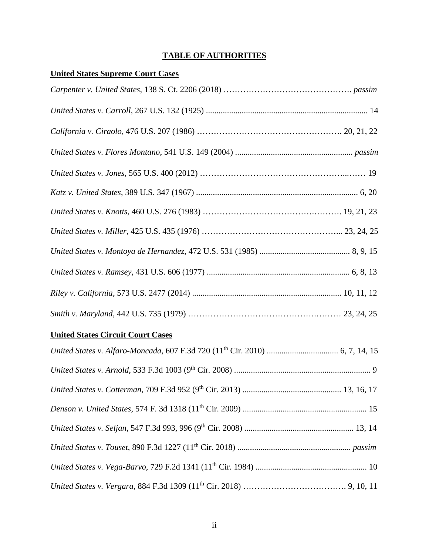### **TABLE OF AUTHORITIES**

# **United States Supreme Court Cases**  *Carpenter v. United States*, 138 S. Ct. 2206 (2018) ………………………………………. *passim United States v. Carroll*, 267 U.S. 132 (1925) ............................................................................. 14 *California v. Ciraolo,* 476 U.S. 207 (1986) ……………………………………………. 20, 21, 22 *United States v. Flores Montano*, 541 U.S. 149 (2004) ........................................................ *passim United States v. Jones,* 565 U.S. 400 (2012) ……………………………………………...…… 19 *Katz v. United States*, 389 U.S. 347 (1967) ............................................................................. 6, 20 *United States v. Knotts*, 460 U.S. 276 (1983) ………………………………….………. 19, 21, 23 *United States v. Miller*, 425 U.S. 435 (1976) …………………………………………... 23, 24, 25 *United States v. Montoya de Hernandez*, 472 U.S. 531 (1985) ........................................... 8, 9, 15 *United States v. Ramsey*, 431 U.S. 606 (1977) .................................................................... 6, 8, 13 *Riley v. California,* 573 U.S. 2477 (2014) ....................................................................... 10, 11, 12 *Smith v. Maryland*, 442 U.S. 735 (1979) ……………………………………….……… 23, 24, 25

### **United States Circuit Court Cases**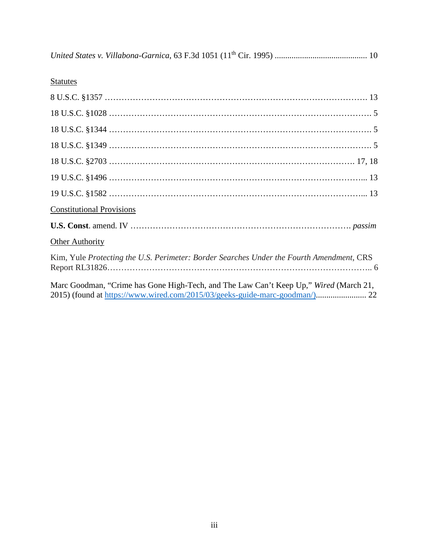*United States v. Villabona-Garnica*, 63 F.3d 1051 (11th Cir. 1995) ............................................ 10

### **Statutes**

| <b>Constitutional Provisions</b>                                                                                                                                     |
|----------------------------------------------------------------------------------------------------------------------------------------------------------------------|
|                                                                                                                                                                      |
| <b>Other Authority</b>                                                                                                                                               |
| Kim, Yule Protecting the U.S. Perimeter: Border Searches Under the Fourth Amendment, CRS                                                                             |
| Marc Goodman, "Crime has Gone High-Tech, and The Law Can't Keep Up," Wired (March 21,<br>2015) (found at https://www.wired.com/2015/03/geeks-guide-marc-goodman/) 22 |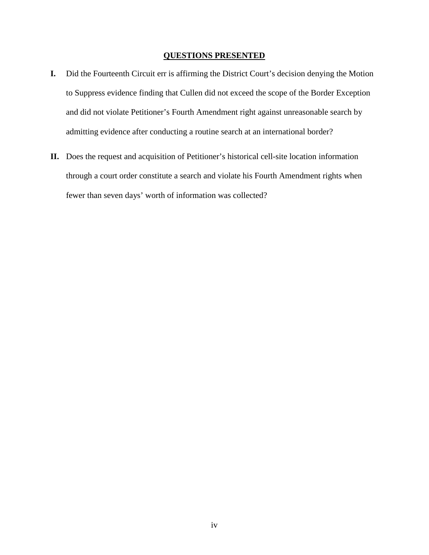#### **QUESTIONS PRESENTED**

- **I.** Did the Fourteenth Circuit err is affirming the District Court's decision denying the Motion to Suppress evidence finding that Cullen did not exceed the scope of the Border Exception and did not violate Petitioner's Fourth Amendment right against unreasonable search by admitting evidence after conducting a routine search at an international border?
- **II.** Does the request and acquisition of Petitioner's historical cell-site location information through a court order constitute a search and violate his Fourth Amendment rights when fewer than seven days' worth of information was collected?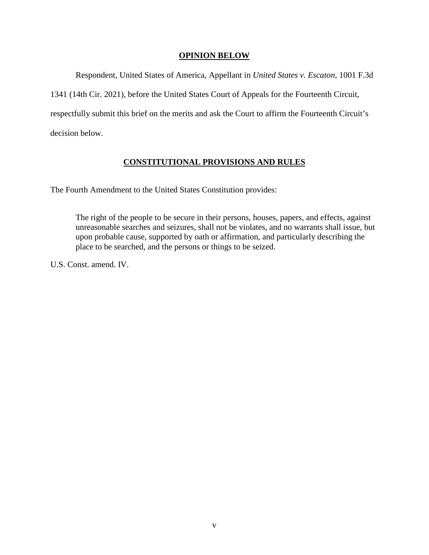#### **OPINION BELOW**

Respondent, United States of America, Appellant in *United States v. Escaton*, 1001 F.3d

1341 (14th Cir. 2021), before the United States Court of Appeals for the Fourteenth Circuit,

respectfully submit this brief on the merits and ask the Court to affirm the Fourteenth Circuit's decision below.

#### **CONSTITUTIONAL PROVISIONS AND RULES**

The Fourth Amendment to the United States Constitution provides:

The right of the people to be secure in their persons, houses, papers, and effects, against unreasonable searches and seizures, shall not be violates, and no warrants shall issue, but upon probable cause, supported by oath or affirmation, and particularly describing the place to be searched, and the persons or things to be seized.

U.S. Const. amend. IV.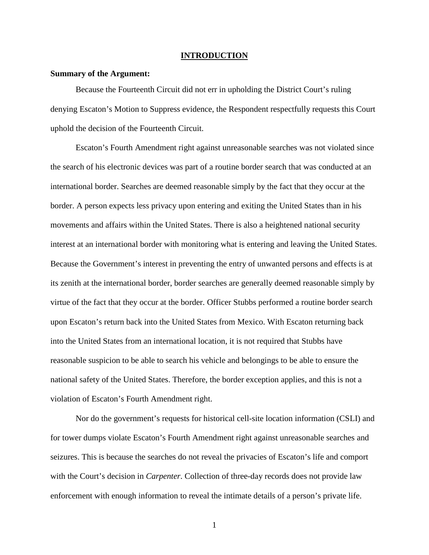#### **INTRODUCTION**

#### **Summary of the Argument:**

Because the Fourteenth Circuit did not err in upholding the District Court's ruling denying Escaton's Motion to Suppress evidence, the Respondent respectfully requests this Court uphold the decision of the Fourteenth Circuit.

Escaton's Fourth Amendment right against unreasonable searches was not violated since the search of his electronic devices was part of a routine border search that was conducted at an international border. Searches are deemed reasonable simply by the fact that they occur at the border. A person expects less privacy upon entering and exiting the United States than in his movements and affairs within the United States. There is also a heightened national security interest at an international border with monitoring what is entering and leaving the United States. Because the Government's interest in preventing the entry of unwanted persons and effects is at its zenith at the international border, border searches are generally deemed reasonable simply by virtue of the fact that they occur at the border. Officer Stubbs performed a routine border search upon Escaton's return back into the United States from Mexico. With Escaton returning back into the United States from an international location, it is not required that Stubbs have reasonable suspicion to be able to search his vehicle and belongings to be able to ensure the national safety of the United States. Therefore, the border exception applies, and this is not a violation of Escaton's Fourth Amendment right.

Nor do the government's requests for historical cell-site location information (CSLI) and for tower dumps violate Escaton's Fourth Amendment right against unreasonable searches and seizures. This is because the searches do not reveal the privacies of Escaton's life and comport with the Court's decision in *Carpenter*. Collection of three-day records does not provide law enforcement with enough information to reveal the intimate details of a person's private life.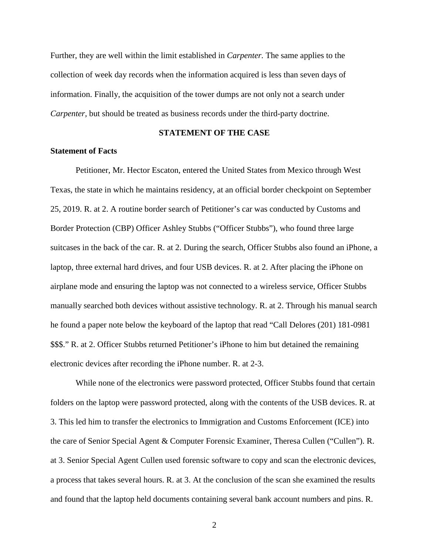Further, they are well within the limit established in *Carpenter.* The same applies to the collection of week day records when the information acquired is less than seven days of information. Finally, the acquisition of the tower dumps are not only not a search under *Carpenter,* but should be treated as business records under the third-party doctrine.

#### **STATEMENT OF THE CASE**

#### **Statement of Facts**

Petitioner, Mr. Hector Escaton, entered the United States from Mexico through West Texas, the state in which he maintains residency, at an official border checkpoint on September 25, 2019. R. at 2. A routine border search of Petitioner's car was conducted by Customs and Border Protection (CBP) Officer Ashley Stubbs ("Officer Stubbs"), who found three large suitcases in the back of the car. R. at 2. During the search, Officer Stubbs also found an iPhone, a laptop, three external hard drives, and four USB devices. R. at 2. After placing the iPhone on airplane mode and ensuring the laptop was not connected to a wireless service, Officer Stubbs manually searched both devices without assistive technology. R. at 2. Through his manual search he found a paper note below the keyboard of the laptop that read "Call Delores (201) 181-0981 \$\$\$." R. at 2. Officer Stubbs returned Petitioner's iPhone to him but detained the remaining electronic devices after recording the iPhone number. R. at 2-3.

While none of the electronics were password protected, Officer Stubbs found that certain folders on the laptop were password protected, along with the contents of the USB devices. R. at 3. This led him to transfer the electronics to Immigration and Customs Enforcement (ICE) into the care of Senior Special Agent & Computer Forensic Examiner, Theresa Cullen ("Cullen"). R. at 3. Senior Special Agent Cullen used forensic software to copy and scan the electronic devices, a process that takes several hours. R. at 3. At the conclusion of the scan she examined the results and found that the laptop held documents containing several bank account numbers and pins. R.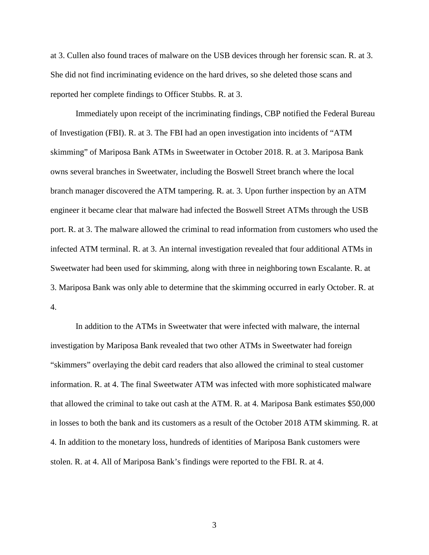at 3. Cullen also found traces of malware on the USB devices through her forensic scan. R. at 3. She did not find incriminating evidence on the hard drives, so she deleted those scans and reported her complete findings to Officer Stubbs. R. at 3.

Immediately upon receipt of the incriminating findings, CBP notified the Federal Bureau of Investigation (FBI). R. at 3. The FBI had an open investigation into incidents of "ATM skimming" of Mariposa Bank ATMs in Sweetwater in October 2018. R. at 3. Mariposa Bank owns several branches in Sweetwater, including the Boswell Street branch where the local branch manager discovered the ATM tampering. R. at. 3. Upon further inspection by an ATM engineer it became clear that malware had infected the Boswell Street ATMs through the USB port. R. at 3. The malware allowed the criminal to read information from customers who used the infected ATM terminal. R. at 3. An internal investigation revealed that four additional ATMs in Sweetwater had been used for skimming, along with three in neighboring town Escalante. R. at 3. Mariposa Bank was only able to determine that the skimming occurred in early October. R. at 4.

In addition to the ATMs in Sweetwater that were infected with malware, the internal investigation by Mariposa Bank revealed that two other ATMs in Sweetwater had foreign "skimmers" overlaying the debit card readers that also allowed the criminal to steal customer information. R. at 4. The final Sweetwater ATM was infected with more sophisticated malware that allowed the criminal to take out cash at the ATM. R. at 4. Mariposa Bank estimates \$50,000 in losses to both the bank and its customers as a result of the October 2018 ATM skimming. R. at 4. In addition to the monetary loss, hundreds of identities of Mariposa Bank customers were stolen. R. at 4. All of Mariposa Bank's findings were reported to the FBI. R. at 4.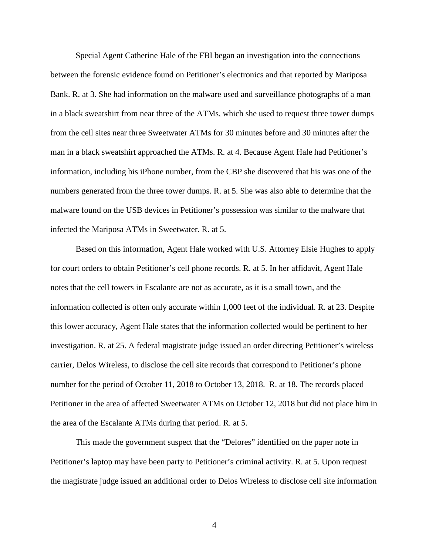Special Agent Catherine Hale of the FBI began an investigation into the connections between the forensic evidence found on Petitioner's electronics and that reported by Mariposa Bank. R. at 3. She had information on the malware used and surveillance photographs of a man in a black sweatshirt from near three of the ATMs, which she used to request three tower dumps from the cell sites near three Sweetwater ATMs for 30 minutes before and 30 minutes after the man in a black sweatshirt approached the ATMs. R. at 4. Because Agent Hale had Petitioner's information, including his iPhone number, from the CBP she discovered that his was one of the numbers generated from the three tower dumps. R. at 5. She was also able to determine that the malware found on the USB devices in Petitioner's possession was similar to the malware that infected the Mariposa ATMs in Sweetwater. R. at 5.

Based on this information, Agent Hale worked with U.S. Attorney Elsie Hughes to apply for court orders to obtain Petitioner's cell phone records. R. at 5. In her affidavit, Agent Hale notes that the cell towers in Escalante are not as accurate, as it is a small town, and the information collected is often only accurate within 1,000 feet of the individual. R. at 23. Despite this lower accuracy, Agent Hale states that the information collected would be pertinent to her investigation. R. at 25. A federal magistrate judge issued an order directing Petitioner's wireless carrier, Delos Wireless, to disclose the cell site records that correspond to Petitioner's phone number for the period of October 11, 2018 to October 13, 2018. R. at 18. The records placed Petitioner in the area of affected Sweetwater ATMs on October 12, 2018 but did not place him in the area of the Escalante ATMs during that period. R. at 5.

This made the government suspect that the "Delores" identified on the paper note in Petitioner's laptop may have been party to Petitioner's criminal activity. R. at 5. Upon request the magistrate judge issued an additional order to Delos Wireless to disclose cell site information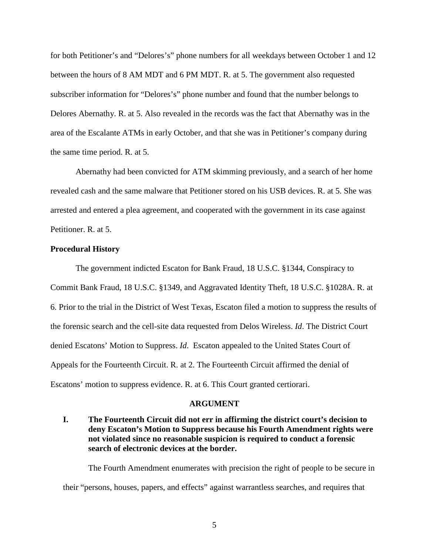for both Petitioner's and "Delores's" phone numbers for all weekdays between October 1 and 12 between the hours of 8 AM MDT and 6 PM MDT. R. at 5. The government also requested subscriber information for "Delores's" phone number and found that the number belongs to Delores Abernathy. R. at 5. Also revealed in the records was the fact that Abernathy was in the area of the Escalante ATMs in early October, and that she was in Petitioner's company during the same time period. R. at 5.

Abernathy had been convicted for ATM skimming previously, and a search of her home revealed cash and the same malware that Petitioner stored on his USB devices. R. at 5. She was arrested and entered a plea agreement, and cooperated with the government in its case against Petitioner. R. at 5.

#### **Procedural History**

The government indicted Escaton for Bank Fraud, 18 U.S.C. §1344, Conspiracy to Commit Bank Fraud, 18 U.S.C. §1349, and Aggravated Identity Theft, 18 U.S.C. §1028A. R. at 6. Prior to the trial in the District of West Texas, Escaton filed a motion to suppress the results of the forensic search and the cell-site data requested from Delos Wireless. *Id*. The District Court denied Escatons' Motion to Suppress. *Id*. Escaton appealed to the United States Court of Appeals for the Fourteenth Circuit. R. at 2. The Fourteenth Circuit affirmed the denial of Escatons' motion to suppress evidence. R. at 6. This Court granted certiorari.

#### **ARGUMENT**

**I. The Fourteenth Circuit did not err in affirming the district court's decision to deny Escaton's Motion to Suppress because his Fourth Amendment rights were not violated since no reasonable suspicion is required to conduct a forensic search of electronic devices at the border.** 

The Fourth Amendment enumerates with precision the right of people to be secure in their "persons, houses, papers, and effects" against warrantless searches, and requires that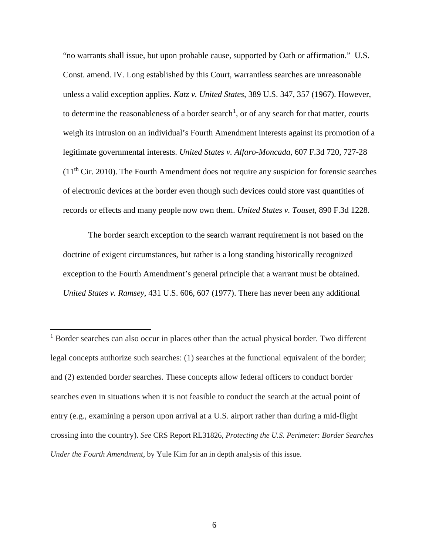"no warrants shall issue, but upon probable cause, supported by Oath or affirmation." U.S. Const. amend. IV. Long established by this Court, warrantless searches are unreasonable unless a valid exception applies. *Katz v. United States*, 389 U.S. 347, 357 (1967). However, to determine the reasonableness of a border search<sup>[1](#page-11-0)</sup>, or of any search for that matter, courts weigh its intrusion on an individual's Fourth Amendment interests against its promotion of a legitimate governmental interests. *United States v. Alfaro-Moncada*, 607 F.3d 720, 727-28  $(11<sup>th</sup> Cir. 2010)$ . The Fourth Amendment does not require any suspicion for forensic searches of electronic devices at the border even though such devices could store vast quantities of records or effects and many people now own them. *United States v. Touset*, 890 F.3d 1228.

The border search exception to the search warrant requirement is not based on the doctrine of exigent circumstances, but rather is a long standing historically recognized exception to the Fourth Amendment's general principle that a warrant must be obtained. *United States v. Ramsey*, 431 U.S. 606, 607 (1977). There has never been any additional

<span id="page-11-0"></span><sup>&</sup>lt;sup>1</sup> Border searches can also occur in places other than the actual physical border. Two different legal concepts authorize such searches: (1) searches at the functional equivalent of the border; and (2) extended border searches. These concepts allow federal officers to conduct border searches even in situations when it is not feasible to conduct the search at the actual point of entry (e.g., examining a person upon arrival at a U.S. airport rather than during a mid-flight crossing into the country). *See* CRS Report RL31826, *Protecting the U.S. Perimeter: Border Searches Under the Fourth Amendment*, by Yule Kim for an in depth analysis of this issue.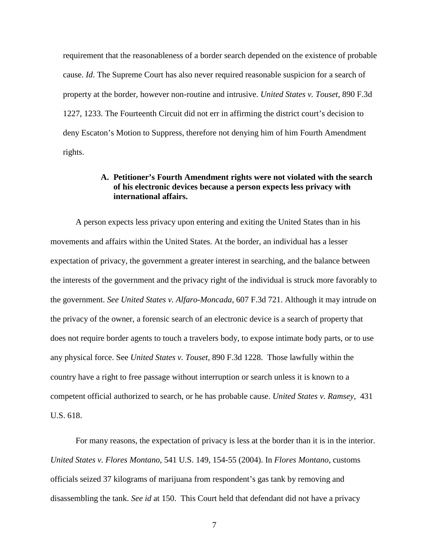requirement that the reasonableness of a border search depended on the existence of probable cause. *Id*. The Supreme Court has also never required reasonable suspicion for a search of property at the border, however non-routine and intrusive. *United States v. Touset*, 890 F.3d 1227, 1233. The Fourteenth Circuit did not err in affirming the district court's decision to deny Escaton's Motion to Suppress, therefore not denying him of him Fourth Amendment rights.

#### **A. Petitioner's Fourth Amendment rights were not violated with the search of his electronic devices because a person expects less privacy with international affairs.**

A person expects less privacy upon entering and exiting the United States than in his movements and affairs within the United States. At the border, an individual has a lesser expectation of privacy, the government a greater interest in searching, and the balance between the interests of the government and the privacy right of the individual is struck more favorably to the government. *See United States v. Alfaro-Moncada*, 607 F.3d 721. Although it may intrude on the privacy of the owner, a forensic search of an electronic device is a search of property that does not require border agents to touch a travelers body, to expose intimate body parts, or to use any physical force. See *United States v. Touset*, 890 F.3d 1228. Those lawfully within the country have a right to free passage without interruption or search unless it is known to a competent official authorized to search, or he has probable cause. *United States v. Ramsey*, 431 U.S. 618.

For many reasons, the expectation of privacy is less at the border than it is in the interior. *United States v. Flores Montano*, 541 U.S. 149, 154-55 (2004). In *Flores Montano*, customs officials seized 37 kilograms of marijuana from respondent's gas tank by removing and disassembling the tank. *See id* at 150. This Court held that defendant did not have a privacy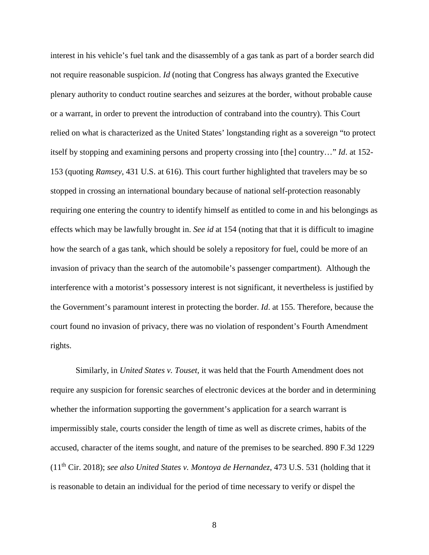interest in his vehicle's fuel tank and the disassembly of a gas tank as part of a border search did not require reasonable suspicion. *Id* (noting that Congress has always granted the Executive plenary authority to conduct routine searches and seizures at the border, without probable cause or a warrant, in order to prevent the introduction of contraband into the country). This Court relied on what is characterized as the United States' longstanding right as a sovereign "to protect itself by stopping and examining persons and property crossing into [the] country…" *Id*. at 152- 153 (quoting *Ramsey*, 431 U.S. at 616). This court further highlighted that travelers may be so stopped in crossing an international boundary because of national self-protection reasonably requiring one entering the country to identify himself as entitled to come in and his belongings as effects which may be lawfully brought in. *See id* at 154 (noting that that it is difficult to imagine how the search of a gas tank, which should be solely a repository for fuel, could be more of an invasion of privacy than the search of the automobile's passenger compartment). Although the interference with a motorist's possessory interest is not significant, it nevertheless is justified by the Government's paramount interest in protecting the border. *Id*. at 155. Therefore, because the court found no invasion of privacy, there was no violation of respondent's Fourth Amendment rights.

Similarly, in *United States v. Touset,* it was held that the Fourth Amendment does not require any suspicion for forensic searches of electronic devices at the border and in determining whether the information supporting the government's application for a search warrant is impermissibly stale, courts consider the length of time as well as discrete crimes, habits of the accused, character of the items sought, and nature of the premises to be searched. 890 F.3d 1229 (11th Cir. 2018); *see also United States v. Montoya de Hernandez*, 473 U.S. 531 (holding that it is reasonable to detain an individual for the period of time necessary to verify or dispel the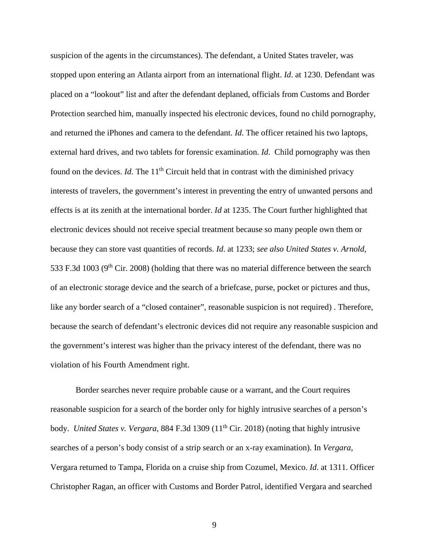suspicion of the agents in the circumstances). The defendant, a United States traveler, was stopped upon entering an Atlanta airport from an international flight. *Id*. at 1230. Defendant was placed on a "lookout" list and after the defendant deplaned, officials from Customs and Border Protection searched him, manually inspected his electronic devices, found no child pornography, and returned the iPhones and camera to the defendant. *Id*. The officer retained his two laptops, external hard drives, and two tablets for forensic examination. *Id*. Child pornography was then found on the devices. *Id*. The 11<sup>th</sup> Circuit held that in contrast with the diminished privacy interests of travelers, the government's interest in preventing the entry of unwanted persons and effects is at its zenith at the international border. *Id* at 1235. The Court further highlighted that electronic devices should not receive special treatment because so many people own them or because they can store vast quantities of records. *Id*. at 1233; *see also United States v. Arnold*, 533 F.3d 1003 (9<sup>th</sup> Cir. 2008) (holding that there was no material difference between the search of an electronic storage device and the search of a briefcase, purse, pocket or pictures and thus, like any border search of a "closed container", reasonable suspicion is not required) . Therefore, because the search of defendant's electronic devices did not require any reasonable suspicion and the government's interest was higher than the privacy interest of the defendant, there was no violation of his Fourth Amendment right.

Border searches never require probable cause or a warrant, and the Court requires reasonable suspicion for a search of the border only for highly intrusive searches of a person's body. *United States v. Vergara*, 884 F.3d 1309 (11<sup>th</sup> Cir. 2018) (noting that highly intrusive searches of a person's body consist of a strip search or an x-ray examination). In *Vergara*, Vergara returned to Tampa, Florida on a cruise ship from Cozumel, Mexico. *Id*. at 1311. Officer Christopher Ragan, an officer with Customs and Border Patrol, identified Vergara and searched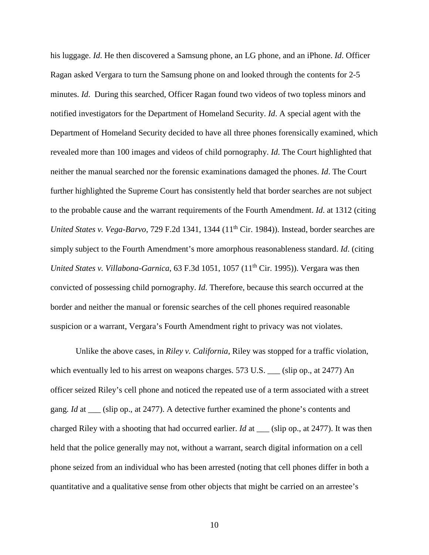his luggage. *Id*. He then discovered a Samsung phone, an LG phone, and an iPhone. *Id*. Officer Ragan asked Vergara to turn the Samsung phone on and looked through the contents for 2-5 minutes. *Id*. During this searched, Officer Ragan found two videos of two topless minors and notified investigators for the Department of Homeland Security. *Id*. A special agent with the Department of Homeland Security decided to have all three phones forensically examined, which revealed more than 100 images and videos of child pornography. *Id*. The Court highlighted that neither the manual searched nor the forensic examinations damaged the phones. *Id*. The Court further highlighted the Supreme Court has consistently held that border searches are not subject to the probable cause and the warrant requirements of the Fourth Amendment. *Id*. at 1312 (citing *United States v. Vega-Barvo*, 729 F.2d 1341, 1344 (11<sup>th</sup> Cir. 1984)). Instead, border searches are simply subject to the Fourth Amendment's more amorphous reasonableness standard. *Id*. (citing *United States v. Villabona-Garnica*, 63 F.3d 1051, 1057 (11<sup>th</sup> Cir. 1995)). Vergara was then convicted of possessing child pornography. *Id*. Therefore, because this search occurred at the border and neither the manual or forensic searches of the cell phones required reasonable suspicion or a warrant, Vergara's Fourth Amendment right to privacy was not violates.

Unlike the above cases, in *Riley v. California*, Riley was stopped for a traffic violation, which eventually led to his arrest on weapons charges. 573 U.S. \_\_\_ (slip op., at 2477) An officer seized Riley's cell phone and noticed the repeated use of a term associated with a street gang. *Id* at \_\_\_ (slip op., at 2477). A detective further examined the phone's contents and charged Riley with a shooting that had occurred earlier. *Id* at \_\_\_ (slip op., at 2477). It was then held that the police generally may not, without a warrant, search digital information on a cell phone seized from an individual who has been arrested (noting that cell phones differ in both a quantitative and a qualitative sense from other objects that might be carried on an arrestee's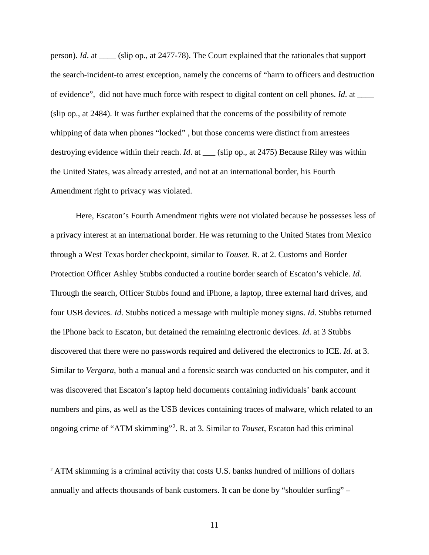person). *Id*. at \_\_\_\_ (slip op., at 2477-78). The Court explained that the rationales that support the search-incident-to arrest exception, namely the concerns of "harm to officers and destruction of evidence", did not have much force with respect to digital content on cell phones. *Id*. at \_\_\_\_ (slip op., at 2484). It was further explained that the concerns of the possibility of remote whipping of data when phones "locked" , but those concerns were distinct from arrestees destroying evidence within their reach. *Id.* at \_\_\_ (slip op., at 2475) Because Riley was within the United States, was already arrested, and not at an international border, his Fourth Amendment right to privacy was violated.

Here, Escaton's Fourth Amendment rights were not violated because he possesses less of a privacy interest at an international border. He was returning to the United States from Mexico through a West Texas border checkpoint, similar to *Touset*. R. at 2. Customs and Border Protection Officer Ashley Stubbs conducted a routine border search of Escaton's vehicle. *Id*. Through the search, Officer Stubbs found and iPhone, a laptop, three external hard drives, and four USB devices. *Id*. Stubbs noticed a message with multiple money signs. *Id*. Stubbs returned the iPhone back to Escaton, but detained the remaining electronic devices. *Id*. at 3 Stubbs discovered that there were no passwords required and delivered the electronics to ICE. *Id*. at 3. Similar to *Vergara*, both a manual and a forensic search was conducted on his computer, and it was discovered that Escaton's laptop held documents containing individuals' bank account numbers and pins, as well as the USB devices containing traces of malware, which related to an ongoing crime of "ATM skimming"[2](#page-16-0) . R. at 3. Similar to *Touset*, Escaton had this criminal

<span id="page-16-0"></span><sup>&</sup>lt;sup>2</sup> ATM skimming is a criminal activity that costs U.S. banks hundred of millions of dollars annually and affects thousands of bank customers. It can be done by "shoulder surfing" –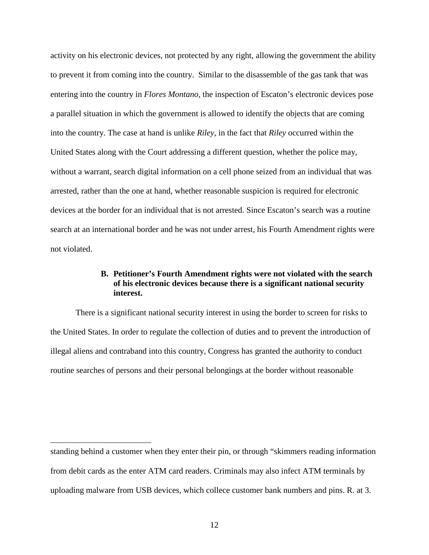activity on his electronic devices, not protected by any right, allowing the government the ability to prevent it from coming into the country. Similar to the disassemble of the gas tank that was entering into the country in *Flores Montano,* the inspection of Escaton's electronic devices pose a parallel situation in which the government is allowed to identify the objects that are coming into the country. The case at hand is unlike *Riley*, in the fact that *Riley* occurred within the United States along with the Court addressing a different question, whether the police may, without a warrant, search digital information on a cell phone seized from an individual that was arrested, rather than the one at hand, whether reasonable suspicion is required for electronic devices at the border for an individual that is not arrested. Since Escaton's search was a routine search at an international border and he was not under arrest, his Fourth Amendment rights were not violated.

#### **B. Petitioner's Fourth Amendment rights were not violated with the search of his electronic devices because there is a significant national security interest.**

There is a significant national security interest in using the border to screen for risks to the United States. In order to regulate the collection of duties and to prevent the introduction of illegal aliens and contraband into this country, Congress has granted the authority to conduct routine searches of persons and their personal belongings at the border without reasonable

 $\overline{a}$ 

standing behind a customer when they enter their pin, or through "skimmers reading information from debit cards as the enter ATM card readers. Criminals may also infect ATM terminals by uploading malware from USB devices, which collece customer bank numbers and pins. R. at 3.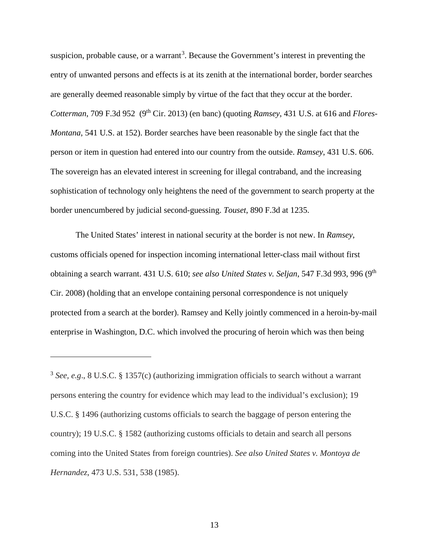suspicion, probable cause, or a warrant<sup>[3](#page-18-0)</sup>. Because the Government's interest in preventing the entry of unwanted persons and effects is at its zenith at the international border, border searches are generally deemed reasonable simply by virtue of the fact that they occur at the border. Cotterman, 709 F.3d 952 (9<sup>th</sup> Cir. 2013) (en banc) (quoting *Ramsey*, 431 U.S. at 616 and *Flores*-*Montana*, 541 U.S. at 152). Border searches have been reasonable by the single fact that the person or item in question had entered into our country from the outside. *Ramsey*, 431 U.S. 606. The sovereign has an elevated interest in screening for illegal contraband, and the increasing sophistication of technology only heightens the need of the government to search property at the border unencumbered by judicial second-guessing. *Touset*, 890 F.3d at 1235.

The United States' interest in national security at the border is not new. In *Ramsey*, customs officials opened for inspection incoming international letter-class mail without first obtaining a search warrant. 431 U.S. 610; *see also United States v. Seljan*, 547 F.3d 993, 996 (9th Cir. 2008) (holding that an envelope containing personal correspondence is not uniquely protected from a search at the border). Ramsey and Kelly jointly commenced in a heroin-by-mail enterprise in Washington, D.C. which involved the procuring of heroin which was then being

 $\overline{a}$ 

<span id="page-18-0"></span><sup>3</sup> *See, e.g*., 8 U.S.C. § 1357(c) (authorizing immigration officials to search without a warrant persons entering the country for evidence which may lead to the individual's exclusion); 19 U.S.C. § 1496 (authorizing customs officials to search the baggage of person entering the country); 19 U.S.C. § 1582 (authorizing customs officials to detain and search all persons coming into the United States from foreign countries). *See also United States v. Montoya de Hernandez*, 473 U.S. 531, 538 (1985).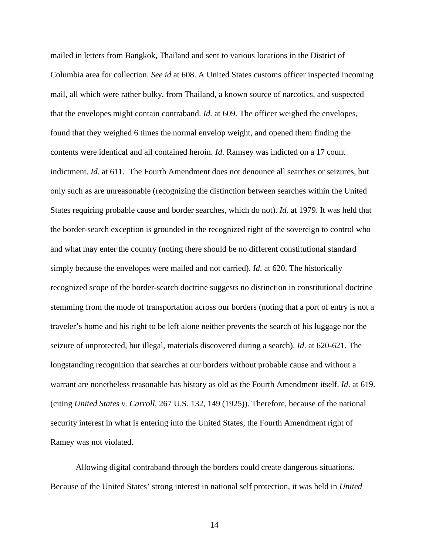mailed in letters from Bangkok, Thailand and sent to various locations in the District of Columbia area for collection. *See id* at 608. A United States customs officer inspected incoming mail, all which were rather bulky, from Thailand, a known source of narcotics, and suspected that the envelopes might contain contraband. *Id*. at 609. The officer weighed the envelopes, found that they weighed 6 times the normal envelop weight, and opened them finding the contents were identical and all contained heroin. *Id*. Ramsey was indicted on a 17 count indictment. *Id*. at 611. The Fourth Amendment does not denounce all searches or seizures, but only such as are unreasonable (recognizing the distinction between searches within the United States requiring probable cause and border searches, which do not). *Id*. at 1979. It was held that the border-search exception is grounded in the recognized right of the sovereign to control who and what may enter the country (noting there should be no different constitutional standard simply because the envelopes were mailed and not carried). *Id*. at 620. The historically recognized scope of the border-search doctrine suggests no distinction in constitutional doctrine stemming from the mode of transportation across our borders (noting that a port of entry is not a traveler's home and his right to be left alone neither prevents the search of his luggage nor the seizure of unprotected, but illegal, materials discovered during a search). *Id*. at 620-621. The longstanding recognition that searches at our borders without probable cause and without a warrant are nonetheless reasonable has history as old as the Fourth Amendment itself. *Id*. at 619. (citing *United States v. Carroll*, 267 U.S. 132, 149 (1925)). Therefore, because of the national security interest in what is entering into the United States, the Fourth Amendment right of Ramey was not violated.

Allowing digital contraband through the borders could create dangerous situations. Because of the United States' strong interest in national self protection, it was held in *United*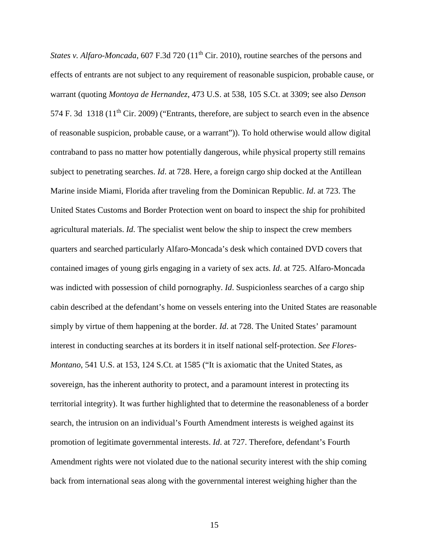*States v. Alfaro-Moncada*, 607 F.3d 720 (11<sup>th</sup> Cir. 2010), routine searches of the persons and effects of entrants are not subject to any requirement of reasonable suspicion, probable cause, or warrant (quoting *Montoya de Hernandez*, 473 U.S. at 538, 105 S.Ct. at 3309; see also *Denson* 574 F. 3d 1318 (11<sup>th</sup> Cir. 2009) ("Entrants, therefore, are subject to search even in the absence of reasonable suspicion, probable cause, or a warrant")). To hold otherwise would allow digital contraband to pass no matter how potentially dangerous, while physical property still remains subject to penetrating searches. *Id*. at 728. Here, a foreign cargo ship docked at the Antillean Marine inside Miami, Florida after traveling from the Dominican Republic. *Id*. at 723. The United States Customs and Border Protection went on board to inspect the ship for prohibited agricultural materials. *Id*. The specialist went below the ship to inspect the crew members quarters and searched particularly Alfaro-Moncada's desk which contained DVD covers that contained images of young girls engaging in a variety of sex acts. *Id*. at 725. Alfaro-Moncada was indicted with possession of child pornography. *Id*. Suspicionless searches of a cargo ship cabin described at the defendant's home on vessels entering into the United States are reasonable simply by virtue of them happening at the border. *Id*. at 728. The United States' paramount interest in conducting searches at its borders it in itself national self-protection. *See Flores-Montano*, 541 U.S. at 153, 124 S.Ct. at 1585 ("It is axiomatic that the United States, as sovereign, has the inherent authority to protect, and a paramount interest in protecting its territorial integrity). It was further highlighted that to determine the reasonableness of a border search, the intrusion on an individual's Fourth Amendment interests is weighed against its promotion of legitimate governmental interests. *Id*. at 727. Therefore, defendant's Fourth Amendment rights were not violated due to the national security interest with the ship coming back from international seas along with the governmental interest weighing higher than the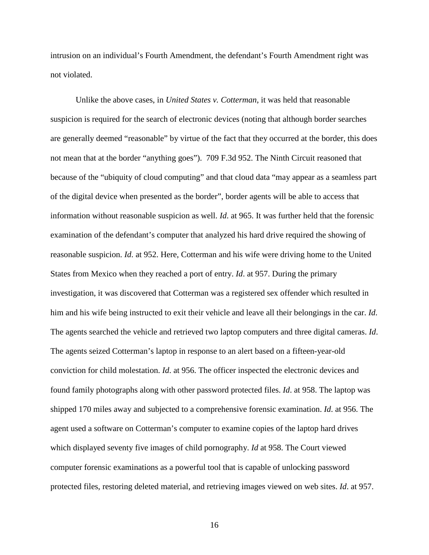intrusion on an individual's Fourth Amendment, the defendant's Fourth Amendment right was not violated.

Unlike the above cases, in *United States v. Cotterman*, it was held that reasonable suspicion is required for the search of electronic devices (noting that although border searches are generally deemed "reasonable" by virtue of the fact that they occurred at the border, this does not mean that at the border "anything goes"). 709 F.3d 952. The Ninth Circuit reasoned that because of the "ubiquity of cloud computing" and that cloud data "may appear as a seamless part of the digital device when presented as the border", border agents will be able to access that information without reasonable suspicion as well. *Id*. at 965. It was further held that the forensic examination of the defendant's computer that analyzed his hard drive required the showing of reasonable suspicion. *Id*. at 952. Here, Cotterman and his wife were driving home to the United States from Mexico when they reached a port of entry. *Id*. at 957. During the primary investigation, it was discovered that Cotterman was a registered sex offender which resulted in him and his wife being instructed to exit their vehicle and leave all their belongings in the car. *Id*. The agents searched the vehicle and retrieved two laptop computers and three digital cameras. *Id*. The agents seized Cotterman's laptop in response to an alert based on a fifteen-year-old conviction for child molestation. *Id*. at 956. The officer inspected the electronic devices and found family photographs along with other password protected files. *Id*. at 958. The laptop was shipped 170 miles away and subjected to a comprehensive forensic examination. *Id*. at 956. The agent used a software on Cotterman's computer to examine copies of the laptop hard drives which displayed seventy five images of child pornography. *Id* at 958. The Court viewed computer forensic examinations as a powerful tool that is capable of unlocking password protected files, restoring deleted material, and retrieving images viewed on web sites. *Id*. at 957.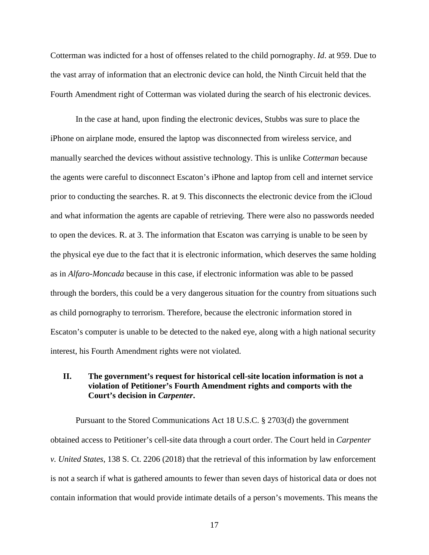Cotterman was indicted for a host of offenses related to the child pornography. *Id*. at 959. Due to the vast array of information that an electronic device can hold, the Ninth Circuit held that the Fourth Amendment right of Cotterman was violated during the search of his electronic devices.

In the case at hand, upon finding the electronic devices, Stubbs was sure to place the iPhone on airplane mode, ensured the laptop was disconnected from wireless service, and manually searched the devices without assistive technology. This is unlike *Cotterman* because the agents were careful to disconnect Escaton's iPhone and laptop from cell and internet service prior to conducting the searches. R. at 9. This disconnects the electronic device from the iCloud and what information the agents are capable of retrieving. There were also no passwords needed to open the devices. R. at 3. The information that Escaton was carrying is unable to be seen by the physical eye due to the fact that it is electronic information, which deserves the same holding as in *Alfaro-Moncada* because in this case, if electronic information was able to be passed through the borders, this could be a very dangerous situation for the country from situations such as child pornography to terrorism. Therefore, because the electronic information stored in Escaton's computer is unable to be detected to the naked eye, along with a high national security interest, his Fourth Amendment rights were not violated.

#### **II. The government's request for historical cell-site location information is not a violation of Petitioner's Fourth Amendment rights and comports with the Court's decision in** *Carpenter***.**

Pursuant to the Stored Communications Act 18 U.S.C. § 2703(d) the government obtained access to Petitioner's cell-site data through a court order. The Court held in *Carpenter v. United States*, 138 S. Ct. 2206 (2018) that the retrieval of this information by law enforcement is not a search if what is gathered amounts to fewer than seven days of historical data or does not contain information that would provide intimate details of a person's movements. This means the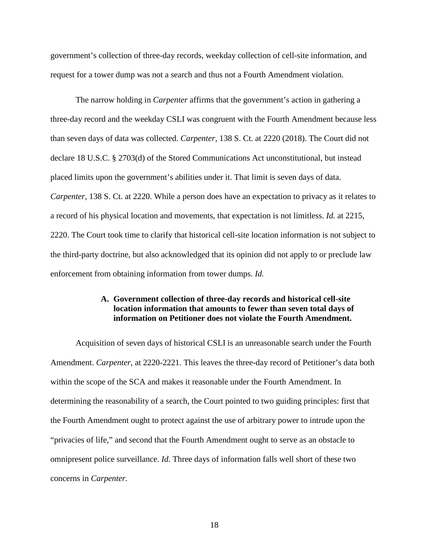government's collection of three-day records, weekday collection of cell-site information, and request for a tower dump was not a search and thus not a Fourth Amendment violation.

The narrow holding in *Carpenter* affirms that the government's action in gathering a three-day record and the weekday CSLI was congruent with the Fourth Amendment because less than seven days of data was collected. *Carpenter*, 138 S. Ct. at 2220 (2018). The Court did not declare 18 U.S.C. § 2703(d) of the Stored Communications Act unconstitutional, but instead placed limits upon the government's abilities under it. That limit is seven days of data. *Carpenter*, 138 S. Ct. at 2220. While a person does have an expectation to privacy as it relates to a record of his physical location and movements, that expectation is not limitless. *Id.* at 2215, 2220. The Court took time to clarify that historical cell-site location information is not subject to the third-party doctrine, but also acknowledged that its opinion did not apply to or preclude law enforcement from obtaining information from tower dumps. *Id.*

#### **A. Government collection of three-day records and historical cell-site location information that amounts to fewer than seven total days of information on Petitioner does not violate the Fourth Amendment.**

Acquisition of seven days of historical CSLI is an unreasonable search under the Fourth Amendment. *Carpenter,* at 2220-2221. This leaves the three-day record of Petitioner's data both within the scope of the SCA and makes it reasonable under the Fourth Amendment. In determining the reasonability of a search, the Court pointed to two guiding principles: first that the Fourth Amendment ought to protect against the use of arbitrary power to intrude upon the "privacies of life," and second that the Fourth Amendment ought to serve as an obstacle to omnipresent police surveillance. *Id*. Three days of information falls well short of these two concerns in *Carpenter.*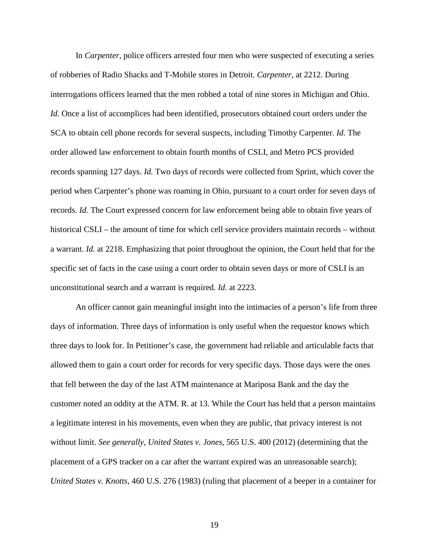In *Carpenter*, police officers arrested four men who were suspected of executing a series of robberies of Radio Shacks and T-Mobile stores in Detroit. *Carpenter*, at 2212. During interrogations officers learned that the men robbed a total of nine stores in Michigan and Ohio. *Id.* Once a list of accomplices had been identified, prosecutors obtained court orders under the SCA to obtain cell phone records for several suspects, including Timothy Carpenter. *Id.* The order allowed law enforcement to obtain fourth months of CSLI, and Metro PCS provided records spanning 127 days. *Id.* Two days of records were collected from Sprint, which cover the period when Carpenter's phone was roaming in Ohio, pursuant to a court order for seven days of records. *Id.* The Court expressed concern for law enforcement being able to obtain five years of historical CSLI – the amount of time for which cell service providers maintain records – without a warrant. *Id.* at 2218. Emphasizing that point throughout the opinion, the Court held that for the specific set of facts in the case using a court order to obtain seven days or more of CSLI is an unconstitutional search and a warrant is required. *Id*. at 2223.

An officer cannot gain meaningful insight into the intimacies of a person's life from three days of information. Three days of information is only useful when the requestor knows which three days to look for. In Petitioner's case, the government had reliable and articulable facts that allowed them to gain a court order for records for very specific days. Those days were the ones that fell between the day of the last ATM maintenance at Mariposa Bank and the day the customer noted an oddity at the ATM. R. at 13. While the Court has held that a person maintains a legitimate interest in his movements, even when they are public, that privacy interest is not without limit. *See generally, United States v. Jones,* 565 U.S. 400 (2012) (determining that the placement of a GPS tracker on a car after the warrant expired was an unreasonable search); *United States v. Knotts*, 460 U.S. 276 (1983) (ruling that placement of a beeper in a container for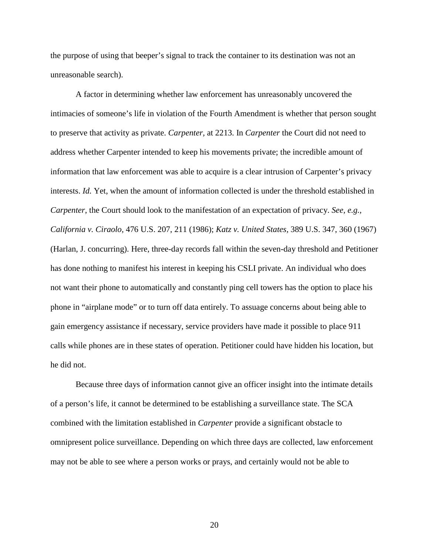the purpose of using that beeper's signal to track the container to its destination was not an unreasonable search).

A factor in determining whether law enforcement has unreasonably uncovered the intimacies of someone's life in violation of the Fourth Amendment is whether that person sought to preserve that activity as private. *Carpenter,* at 2213. In *Carpenter* the Court did not need to address whether Carpenter intended to keep his movements private; the incredible amount of information that law enforcement was able to acquire is a clear intrusion of Carpenter's privacy interests. *Id.* Yet, when the amount of information collected is under the threshold established in *Carpenter*, the Court should look to the manifestation of an expectation of privacy. *See, e.g.*, *California v. Ciraolo,* 476 U.S. 207, 211 (1986); *Katz v. United States,* 389 U.S. 347, 360 (1967) (Harlan, J. concurring). Here, three-day records fall within the seven-day threshold and Petitioner has done nothing to manifest his interest in keeping his CSLI private. An individual who does not want their phone to automatically and constantly ping cell towers has the option to place his phone in "airplane mode" or to turn off data entirely. To assuage concerns about being able to gain emergency assistance if necessary, service providers have made it possible to place 911 calls while phones are in these states of operation. Petitioner could have hidden his location, but he did not.

Because three days of information cannot give an officer insight into the intimate details of a person's life, it cannot be determined to be establishing a surveillance state. The SCA combined with the limitation established in *Carpenter* provide a significant obstacle to omnipresent police surveillance. Depending on which three days are collected, law enforcement may not be able to see where a person works or prays, and certainly would not be able to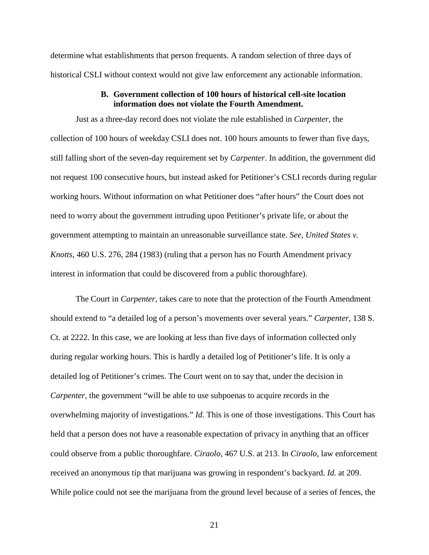determine what establishments that person frequents. A random selection of three days of historical CSLI without context would not give law enforcement any actionable information.

#### **B. Government collection of 100 hours of historical cell-site location information does not violate the Fourth Amendment.**

Just as a three-day record does not violate the rule established in *Carpenter,* the collection of 100 hours of weekday CSLI does not. 100 hours amounts to fewer than five days, still falling short of the seven-day requirement set by *Carpenter*. In addition, the government did not request 100 consecutive hours, but instead asked for Petitioner's CSLI records during regular working hours. Without information on what Petitioner does "after hours" the Court does not need to worry about the government intruding upon Petitioner's private life, or about the government attempting to maintain an unreasonable surveillance state. *See*, *United States v. Knotts*, 460 U.S. 276, 284 (1983) (ruling that a person has no Fourth Amendment privacy interest in information that could be discovered from a public thoroughfare).

The Court in *Carpenter*, takes care to note that the protection of the Fourth Amendment should extend to "a detailed log of a person's movements over several years." *Carpenter,* 138 S. Ct. at 2222. In this case, we are looking at less than five days of information collected only during regular working hours. This is hardly a detailed log of Petitioner's life. It is only a detailed log of Petitioner's crimes. The Court went on to say that, under the decision in *Carpenter,* the government "will be able to use subpoenas to acquire records in the overwhelming majority of investigations." *Id.* This is one of those investigations. This Court has held that a person does not have a reasonable expectation of privacy in anything that an officer could observe from a public thoroughfare. *Ciraolo,* 467 U.S. at 213. In *Ciraolo,* law enforcement received an anonymous tip that marijuana was growing in respondent's backyard. *Id.* at 209. While police could not see the marijuana from the ground level because of a series of fences, the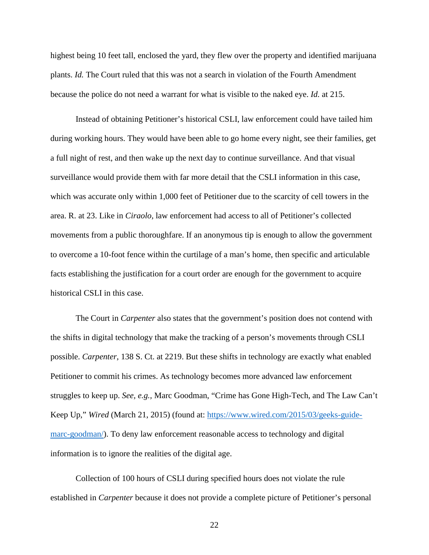highest being 10 feet tall, enclosed the yard, they flew over the property and identified marijuana plants. *Id.* The Court ruled that this was not a search in violation of the Fourth Amendment because the police do not need a warrant for what is visible to the naked eye. *Id.* at 215.

Instead of obtaining Petitioner's historical CSLI, law enforcement could have tailed him during working hours. They would have been able to go home every night, see their families, get a full night of rest, and then wake up the next day to continue surveillance. And that visual surveillance would provide them with far more detail that the CSLI information in this case, which was accurate only within 1,000 feet of Petitioner due to the scarcity of cell towers in the area. R. at 23. Like in *Ciraolo,* law enforcement had access to all of Petitioner's collected movements from a public thoroughfare. If an anonymous tip is enough to allow the government to overcome a 10-foot fence within the curtilage of a man's home, then specific and articulable facts establishing the justification for a court order are enough for the government to acquire historical CSLI in this case.

The Court in *Carpenter* also states that the government's position does not contend with the shifts in digital technology that make the tracking of a person's movements through CSLI possible. *Carpenter*, 138 S. Ct. at 2219. But these shifts in technology are exactly what enabled Petitioner to commit his crimes. As technology becomes more advanced law enforcement struggles to keep up. *See, e.g.,* Marc Goodman, "Crime has Gone High-Tech, and The Law Can't Keep Up," *Wired* (March 21, 2015) (found at: [https://www.wired.com/2015/03/geeks-guide](https://www.wired.com/2015/03/geeks-guide-marc-goodman/)[marc-goodman/\)](https://www.wired.com/2015/03/geeks-guide-marc-goodman/). To deny law enforcement reasonable access to technology and digital information is to ignore the realities of the digital age.

Collection of 100 hours of CSLI during specified hours does not violate the rule established in *Carpenter* because it does not provide a complete picture of Petitioner's personal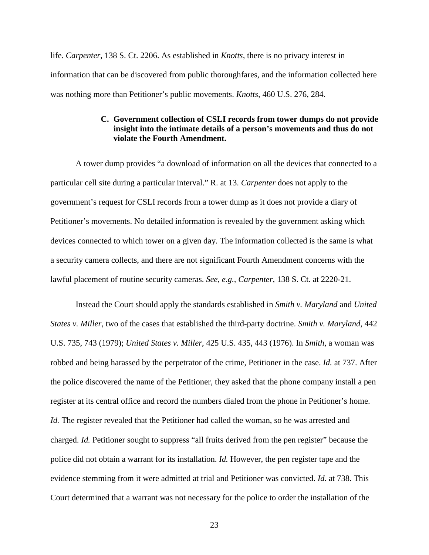life. *Carpenter,* 138 S. Ct. 2206. As established in *Knotts,* there is no privacy interest in information that can be discovered from public thoroughfares, and the information collected here was nothing more than Petitioner's public movements. *Knotts,* 460 U.S. 276, 284.

#### **C. Government collection of CSLI records from tower dumps do not provide insight into the intimate details of a person's movements and thus do not violate the Fourth Amendment.**

A tower dump provides "a download of information on all the devices that connected to a particular cell site during a particular interval." R. at 13. *Carpenter* does not apply to the government's request for CSLI records from a tower dump as it does not provide a diary of Petitioner's movements. No detailed information is revealed by the government asking which devices connected to which tower on a given day. The information collected is the same is what a security camera collects, and there are not significant Fourth Amendment concerns with the lawful placement of routine security cameras. *See, e.g., Carpenter,* 138 S. Ct. at 2220-21.

Instead the Court should apply the standards established in *Smith v. Maryland* and *United States v. Miller*, two of the cases that established the third-party doctrine. *Smith v. Maryland*, 442 U.S. 735, 743 (1979); *United States v. Miller*, 425 U.S. 435, 443 (1976). In *Smith*, a woman was robbed and being harassed by the perpetrator of the crime, Petitioner in the case. *Id.* at 737. After the police discovered the name of the Petitioner, they asked that the phone company install a pen register at its central office and record the numbers dialed from the phone in Petitioner's home. *Id.* The register revealed that the Petitioner had called the woman, so he was arrested and charged. *Id.* Petitioner sought to suppress "all fruits derived from the pen register" because the police did not obtain a warrant for its installation. *Id.* However, the pen register tape and the evidence stemming from it were admitted at trial and Petitioner was convicted. *Id.* at 738. This Court determined that a warrant was not necessary for the police to order the installation of the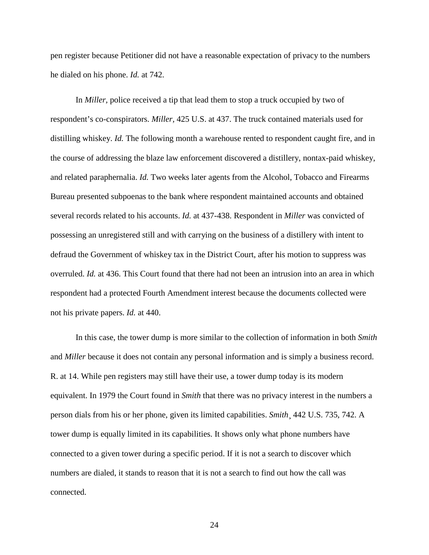pen register because Petitioner did not have a reasonable expectation of privacy to the numbers he dialed on his phone. *Id.* at 742.

In *Miller,* police received a tip that lead them to stop a truck occupied by two of respondent's co-conspirators. *Miller,* 425 U.S. at 437. The truck contained materials used for distilling whiskey. *Id.* The following month a warehouse rented to respondent caught fire, and in the course of addressing the blaze law enforcement discovered a distillery, nontax-paid whiskey, and related paraphernalia. *Id.* Two weeks later agents from the Alcohol, Tobacco and Firearms Bureau presented subpoenas to the bank where respondent maintained accounts and obtained several records related to his accounts. *Id.* at 437-438. Respondent in *Miller* was convicted of possessing an unregistered still and with carrying on the business of a distillery with intent to defraud the Government of whiskey tax in the District Court, after his motion to suppress was overruled. *Id.* at 436. This Court found that there had not been an intrusion into an area in which respondent had a protected Fourth Amendment interest because the documents collected were not his private papers. *Id.* at 440.

In this case, the tower dump is more similar to the collection of information in both *Smith* and *Miller* because it does not contain any personal information and is simply a business record. R. at 14. While pen registers may still have their use, a tower dump today is its modern equivalent. In 1979 the Court found in *Smith* that there was no privacy interest in the numbers a person dials from his or her phone, given its limited capabilities. *Smith*¸ 442 U.S. 735, 742. A tower dump is equally limited in its capabilities. It shows only what phone numbers have connected to a given tower during a specific period. If it is not a search to discover which numbers are dialed, it stands to reason that it is not a search to find out how the call was connected.